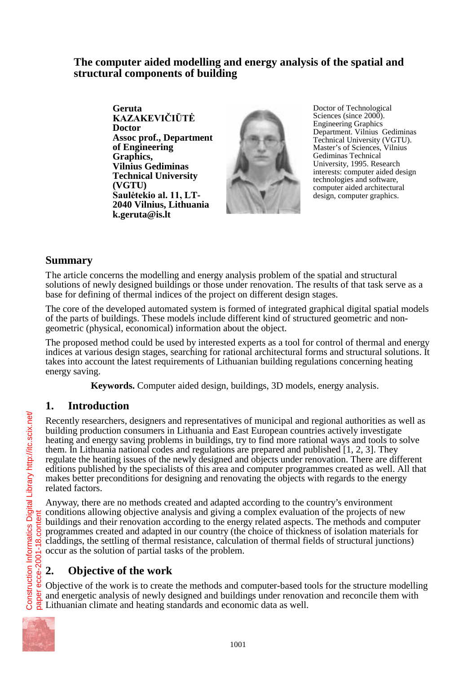### **The computer aided modelling and energy analysis of the spatial and structural components of building**

**Geruta**  KAZAKEVIČIŪTĖ **Doctor Assoc prof., Department of Engineering Graphics, Vilnius Gediminas Technical University (VGTU) Saulėtekio al. 11, LT-2040 Vilnius, Lithuania k.geruta@is.lt** 



Doctor of Technological Sciences (since 2000). Engineering Graphics Department. Vilnius Gediminas Technical University (VGTU). Master's of Sciences, Vilnius Gediminas Technical University, 1995. Research interests: computer aided design technologies and software, computer aided architectural design, computer graphics.

## **Summary**

The article concerns the modelling and energy analysis problem of the spatial and structural solutions of newly designed buildings or those under renovation. The results of that task serve as a base for defining of thermal indices of the project on different design stages.

The core of the developed automated system is formed of integrated graphical digital spatial models of the parts of buildings. These models include different kind of structured geometric and nongeometric (physical, economical) information about the object.

The proposed method could be used by interested experts as a tool for control of thermal and energy indices at various design stages, searching for rational architectural forms and structural solutions. It takes into account the latest requirements of Lithuanian building regulations concerning heating energy saving.

**Keywords.** Computer aided design, buildings, 3D models, energy analysis.

### **1. Introduction**

Recently researchers, designers and representatives of municipal and regional authorities as well as building production consumers in Lithuania and East European countries actively investigate heating and energy saving problems in buildings, try to find more rational ways and tools to solve them. In Lithuania national codes and regulations are prepared and published [1, 2, 3]. They regulate the heating issues of the newly designed and objects under renovation. There are different editions published by the specialists of this area and computer programmes created as well. All that makes better preconditions for designing and renovating the objects with regards to the energy related factors.

Anyway, there are no methods created and adapted according to the country's environment conditions allowing objective analysis and giving a complex evaluation of the projects of new buildings and their renovation according to the energy related aspects. The methods and computer programmes created and adapted in our country (the choice of thickness of isolation materials for claddings, the settling of thermal resistance, calculation of thermal fields of structural junctions) occur as the solution of partial tasks of the problem.

# **2. Objective of the work**

Objective of the work is to create the methods and computer-based tools for the structure modelling and energetic analysis of newly designed and buildings under renovation and reconcile them with Lithuanian climate and heating standards and economic data as well.

1001

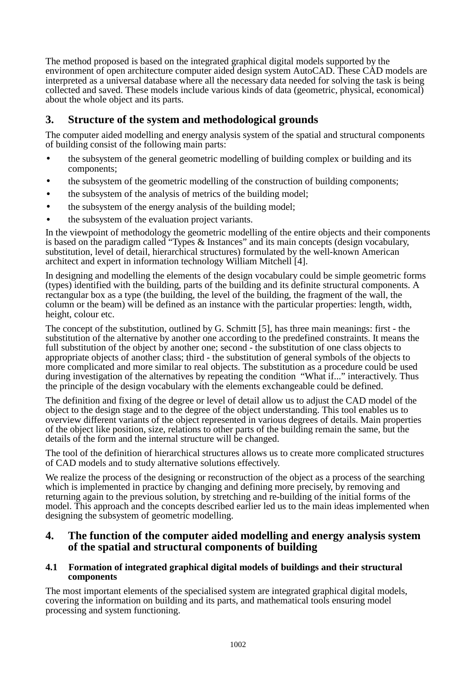The method proposed is based on the integrated graphical digital models supported by the environment of open architecture computer aided design system AutoCAD. These CAD models are interpreted as a universal database where all the necessary data needed for solving the task is being collected and saved. These models include various kinds of data (geometric, physical, economical) about the whole object and its parts.

## **3. Structure of the system and methodological grounds**

The computer aided modelling and energy analysis system of the spatial and structural components of building consist of the following main parts:

- the subsystem of the general geometric modelling of building complex or building and its components;
- the subsystem of the geometric modelling of the construction of building components;
- the subsystem of the analysis of metrics of the building model;
- the subsystem of the energy analysis of the building model;
- the subsystem of the evaluation project variants.

In the viewpoint of methodology the geometric modelling of the entire objects and their components is based on the paradigm called "Types & Instances" and its main concepts (design vocabulary, substitution, level of detail, hierarchical structures) formulated by the well-known American architect and expert in information technology William Mitchell [4].

In designing and modelling the elements of the design vocabulary could be simple geometric forms (types) identified with the building, parts of the building and its definite structural components. A rectangular box as a type (the building, the level of the building, the fragment of the wall, the column or the beam) will be defined as an instance with the particular properties: length, width, height, colour etc.

The concept of the substitution, outlined by G. Schmitt [5], has three main meanings: first - the substitution of the alternative by another one according to the predefined constraints. It means the full substitution of the object by another one; second - the substitution of one class objects to appropriate objects of another class; third - the substitution of general symbols of the objects to more complicated and more similar to real objects. The substitution as a procedure could be used during investigation of the alternatives by repeating the condition "What if..." interactively. Thus the principle of the design vocabulary with the elements exchangeable could be defined.

The definition and fixing of the degree or level of detail allow us to adjust the CAD model of the object to the design stage and to the degree of the object understanding. This tool enables us to overview different variants of the object represented in various degrees of details. Main properties of the object like position, size, relations to other parts of the building remain the same, but the details of the form and the internal structure will be changed.

The tool of the definition of hierarchical structures allows us to create more complicated structures of CAD models and to study alternative solutions effectively.

We realize the process of the designing or reconstruction of the object as a process of the searching which is implemented in practice by changing and defining more precisely, by removing and returning again to the previous solution, by stretching and re-building of the initial forms of the model. This approach and the concepts described earlier led us to the main ideas implemented when designing the subsystem of geometric modelling.

### **4. The function of the computer aided modelling and energy analysis system of the spatial and structural components of building**

#### **4.1 Formation of integrated graphical digital models of buildings and their structural components**

The most important elements of the specialised system are integrated graphical digital models, covering the information on building and its parts, and mathematical tools ensuring model processing and system functioning.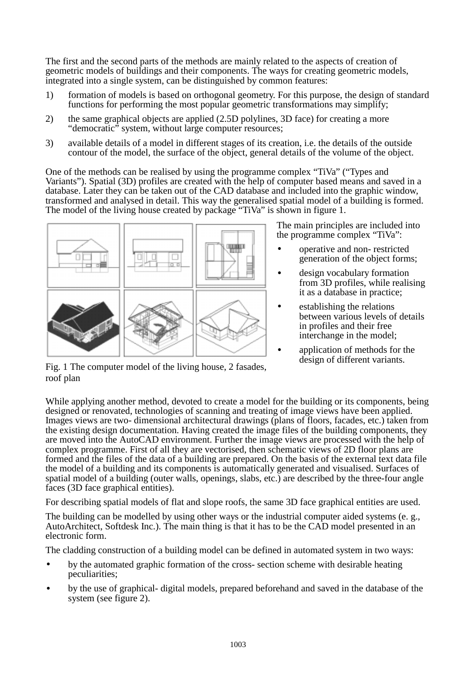The first and the second parts of the methods are mainly related to the aspects of creation of geometric models of buildings and their components. The ways for creating geometric models, integrated into a single system, can be distinguished by common features:

- 1) formation of models is based on orthogonal geometry. For this purpose, the design of standard functions for performing the most popular geometric transformations may simplify;
- 2) the same graphical objects are applied (2.5D polylines, 3D face) for creating a more "democratic" system, without large computer resources;
- 3) available details of a model in different stages of its creation, i.e. the details of the outside contour of the model, the surface of the object, general details of the volume of the object.

One of the methods can be realised by using the programme complex "TiVa" ("Types and Variants"). Spatial (3D) profiles are created with the help of computer based means and saved in a database. Later they can be taken out of the CAD database and included into the graphic window, transformed and analysed in detail. This way the generalised spatial model of a building is formed. The model of the living house created by package "TiVa" is shown in figure 1.



The main principles are included into the programme complex "TiVa":

- operative and non- restricted generation of the object forms;
- design vocabulary formation from 3D profiles, while realising it as a database in practice;
- establishing the relations between various levels of details in profiles and their free interchange in the model;
	- application of methods for the design of different variants.

Fig. 1 The computer model of the living house, 2 fasades, roof plan

While applying another method, devoted to create a model for the building or its components, being designed or renovated, technologies of scanning and treating of image views have been applied. Images views are two- dimensional architectural drawings (plans of floors, facades, etc.) taken from the existing design documentation. Having created the image files of the building components, they are moved into the AutoCAD environment. Further the image views are processed with the help of complex programme. First of all they are vectorised, then schematic views of 2D floor plans are formed and the files of the data of a building are prepared. On the basis of the external text data file the model of a building and its components is automatically generated and visualised. Surfaces of spatial model of a building (outer walls, openings, slabs, etc.) are described by the three-four angle faces (3D face graphical entities).

For describing spatial models of flat and slope roofs, the same 3D face graphical entities are used.

The building can be modelled by using other ways or the industrial computer aided systems (e. g., AutoArchitect, Softdesk Inc.). The main thing is that it has to be the CAD model presented in an electronic form.

The cladding construction of a building model can be defined in automated system in two ways:

- by the automated graphic formation of the cross- section scheme with desirable heating peculiarities;
- by the use of graphical- digital models, prepared beforehand and saved in the database of the system (see figure 2).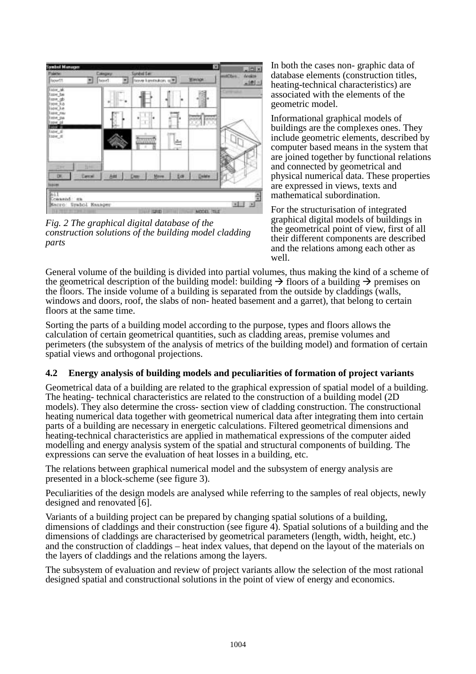| <b>Symbol Manager</b><br><b>Painter</b><br><b>RoomTT</b>                                                                                            | Cangrey<br>front. | ×<br><b>Sundad San</b><br><b>Minnice:</b><br>frover kenstsukers sp. |   |        | $\frac{1}{2}$<br>maCten.<br>dealer<br>$-101/3$ |
|-----------------------------------------------------------------------------------------------------------------------------------------------------|-------------------|---------------------------------------------------------------------|---|--------|------------------------------------------------|
| Tazor ak<br>topy be<br>lime <sub>.</sub> gb<br>From Ro<br>lion ke<br><b>June nu</b><br>took pa<br>trew pl<br>lion in<br>Tupe, di<br>tow_n<br>93 S.H |                   | <b>IMIMI</b>                                                        |   |        |                                                |
| <b>Time</b><br>DE.<br>Concel<br><b>Isaim</b><br>$n+1$<br>Coausad: sa<br>Macro Spabol Hanager                                                        | Add               | Move<br>m                                                           | 長 | Delate | ÷<br>×.<br>×                                   |

*Fig. 2 The graphical digital database of the construction solutions of the building model cladding parts* 

In both the cases non- graphic data of database elements (construction titles, heating-technical characteristics) are associated with the elements of the geometric model.

Informational graphical models of buildings are the complexes ones. They include geometric elements, described by computer based means in the system that are joined together by functional relations and connected by geometrical and physical numerical data. These properties are expressed in views, texts and mathematical subordination.

For the structurisation of integrated graphical digital models of buildings in the geometrical point of view, first of all their different components are described and the relations among each other as well.

General volume of the building is divided into partial volumes, thus making the kind of a scheme of the geometrical description of the building model: building  $\rightarrow$  floors of a building  $\rightarrow$  premises on the floors. The inside volume of a building is separated from the outside by claddings (walls, windows and doors, roof, the slabs of non- heated basement and a garret), that belong to certain floors at the same time.

Sorting the parts of a building model according to the purpose, types and floors allows the calculation of certain geometrical quantities, such as cladding areas, premise volumes and perimeters (the subsystem of the analysis of metrics of the building model) and formation of certain spatial views and orthogonal projections.

#### **4.2 Energy analysis of building models and peculiarities of formation of project variants**

Geometrical data of a building are related to the graphical expression of spatial model of a building. The heating- technical characteristics are related to the construction of a building model (2D models). They also determine the cross- section view of cladding construction. The constructional heating numerical data together with geometrical numerical data after integrating them into certain parts of a building are necessary in energetic calculations. Filtered geometrical dimensions and heating-technical characteristics are applied in mathematical expressions of the computer aided modelling and energy analysis system of the spatial and structural components of building. The expressions can serve the evaluation of heat losses in a building, etc.

The relations between graphical numerical model and the subsystem of energy analysis are presented in a block-scheme (see figure 3).

Peculiarities of the design models are analysed while referring to the samples of real objects, newly designed and renovated [6].

Variants of a building project can be prepared by changing spatial solutions of a building, dimensions of claddings and their construction (see figure 4). Spatial solutions of a building and the dimensions of claddings are characterised by geometrical parameters (length, width, height, etc.) and the construction of claddings – heat index values, that depend on the layout of the materials on the layers of claddings and the relations among the layers.

The subsystem of evaluation and review of project variants allow the selection of the most rational designed spatial and constructional solutions in the point of view of energy and economics.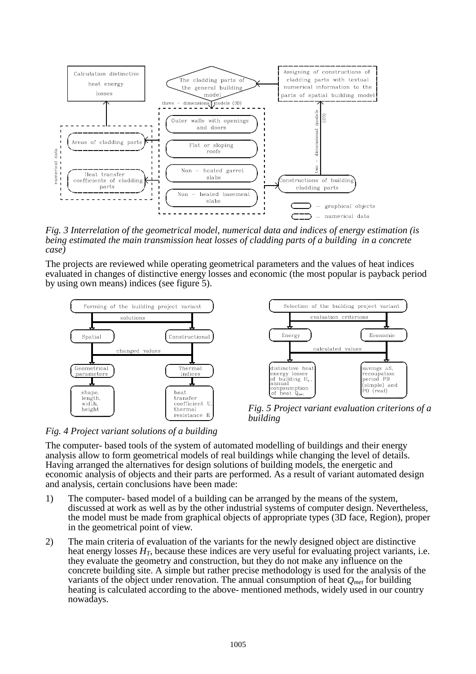

*Fig. 3 Interrelation of the geometrical model, numerical data and indices of energy estimation (is being estimated the main transmission heat losses of cladding parts of a building in a concrete case)*

The projects are reviewed while operating geometrical parameters and the values of heat indices evaluated in changes of distinctive energy losses and economic (the most popular is payback period by using own means) indices (see figure 5).





*Fig. 5 Project variant evaluation criterions of a building*

*Fig. 4 Project variant solutions of a building* 

The computer- based tools of the system of automated modelling of buildings and their energy analysis allow to form geometrical models of real buildings while changing the level of details. Having arranged the alternatives for design solutions of building models, the energetic and economic analysis of objects and their parts are performed. As a result of variant automated design and analysis, certain conclusions have been made:

- 1) The computer- based model of a building can be arranged by the means of the system, discussed at work as well as by the other industrial systems of computer design. Nevertheless, the model must be made from graphical objects of appropriate types (3D face, Region), proper in the geometrical point of view.
- 2) The main criteria of evaluation of the variants for the newly designed object are distinctive heat energy losses  $H_T$ , because these indices are very useful for evaluating project variants, i.e. they evaluate the geometry and construction, but they do not make any influence on the concrete building site. A simple but rather precise methodology is used for the analysis of the variants of the object under renovation. The annual consumption of heat  $Q_{\text{met}}$  for building heating is calculated according to the above- mentioned methods, widely used in our country nowadays.